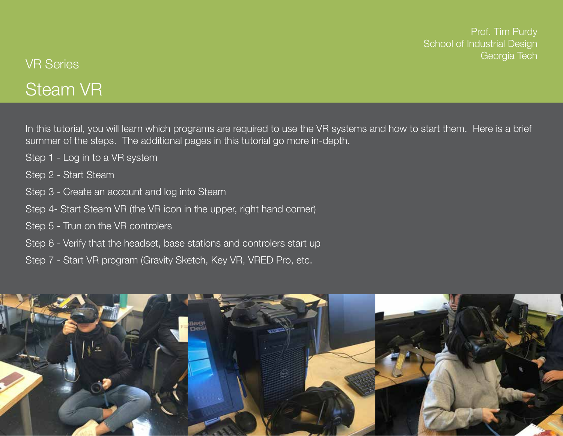Prof. Tim Purdy School of Industrial Design Georgia Tech

# Steam VR VR Series

In this tutorial, you will learn which programs are required to use the VR systems and how to start them. Here is a brief summer of the steps. The additional pages in this tutorial go more in-depth.

- Step 1 Log in to a VR system
- Step 2 Start Steam
- Step 3 Create an account and log into Steam
- Step 4- Start Steam VR (the VR icon in the upper, right hand corner)
- Step 5 Trun on the VR controlers
- Step 6 Verify that the headset, base stations and controlers start up
- Step 7 Start VR program (Gravity Sketch, Key VR, VRED Pro, etc.

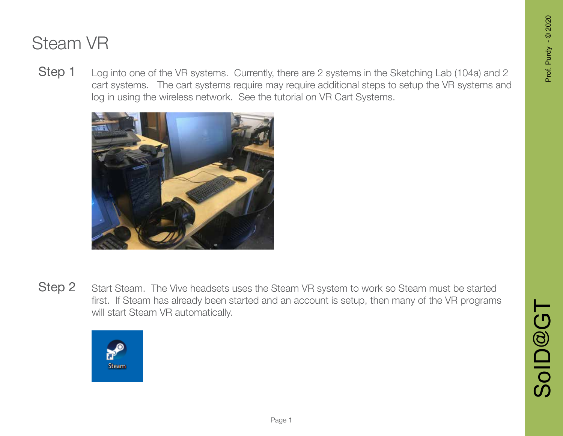Log into one of the VR systems. Currently, there are 2 systems in the Sketching Lab (104a) and 2 cart systems. The cart systems require may require additional steps to setup the VR systems and log in using the wireless network. See the tutorial on VR Cart Systems. Step 1



Step 2

Start Steam. The Vive headsets uses the Steam VR system to work so Steam must be started first. If Steam has already been started and an account is setup, then many of the VR programs will start Steam VR automatically.

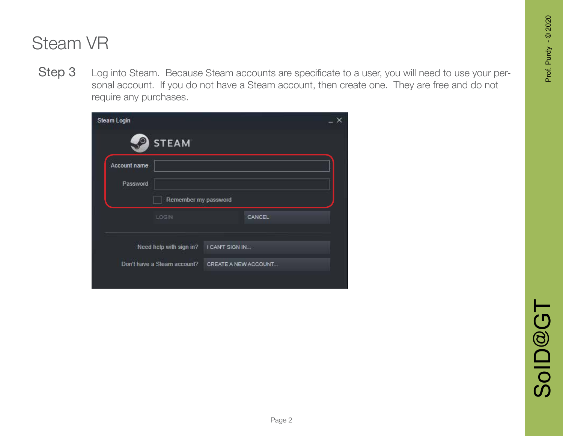Step 3 Log into Steam. Because Steam accounts are specificate to a user, you will need to use your personal account. If you do not have a Steam account, then create one. They are free and do not require any purchases.

| Steam Login  |                             |                 |                      |  |
|--------------|-----------------------------|-----------------|----------------------|--|
|              | <b>STEAM</b>                |                 |                      |  |
| Account name |                             |                 |                      |  |
| Password     |                             |                 |                      |  |
|              | Remember my password        |                 |                      |  |
|              | LOGIN                       |                 | CANCEL               |  |
|              |                             |                 |                      |  |
|              | Need help with sign in?     | I CAN'T SIGN IN |                      |  |
|              | Don't have a Steam account? |                 | CREATE A NEW ACCOUNT |  |
|              |                             |                 |                      |  |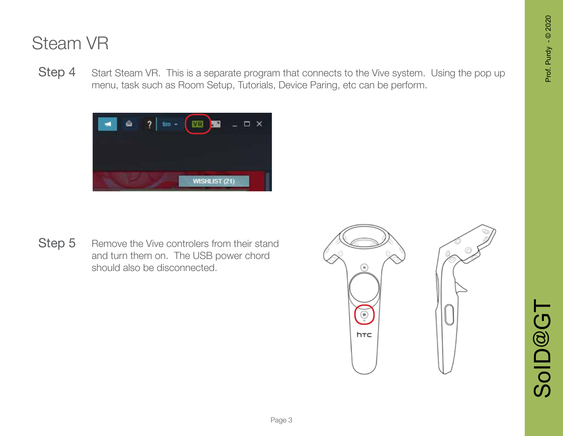Step 4 Start Steam VR. This is a separate program that connects to the Vive system. Using the pop up menu, task such as Room Setup, Tutorials, Device Paring, etc can be perform.



Step 5 Remove the Vive controlers from their stand and turn them on. The USB power chord should also be disconnected.

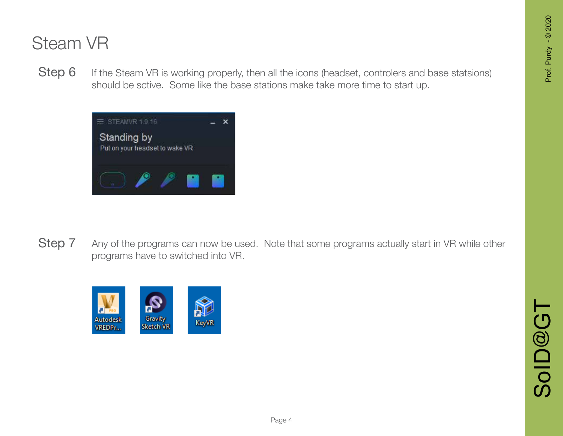Step 6 If the Steam VR is working properly, then all the icons (headset, controlers and base statsions) should be sctive. Some like the base stations make take more time to start up.



Step 7 Any of the programs can now be used. Note that some programs actually start in VR while other programs have to switched into VR.